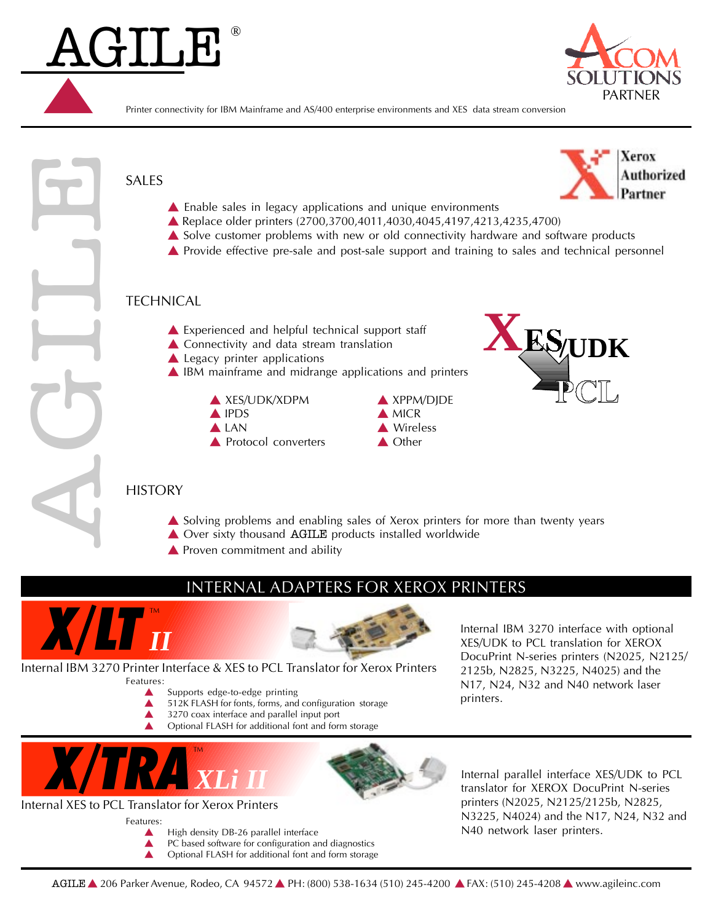

Printer connectivity for IBM Mainframe and AS/400 enterprise environments and XES data stream conversion



- $\triangle$  3270 coax interface and parallel input port
- Optional FLASH for additional font and form storage
- **X/TRA** *XLi II*

# Internal XES to PCL Translator for Xerox Printers

Features:

AGILE ®

- High density DB-26 parallel interface
- 
- $\triangle$  PC based software for configuration and diagnostics  $\triangle$  Optional FLASH for additional font and form storage Optional FLASH for additional font and form storage

Internal parallel interface XES/UDK to PCL translator for XEROX DocuPrint N-series printers (N2025, N2125/2125b, N2825, N3225, N4024) and the N17, N24, N32 and N40 network laser printers.